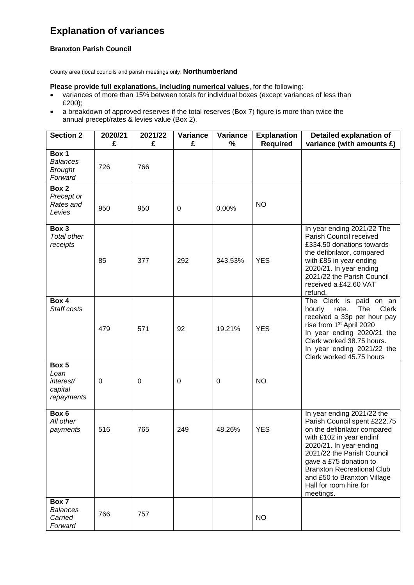## **Explanation of variances**

## **Branxton Parish Council**

County area (local councils and parish meetings only: **Northumberland**

**Please provide full explanations, including numerical values**, for the following:

- variances of more than 15% between totals for individual boxes (except variances of less than £200);
- a breakdown of approved reserves if the total reserves (Box 7) figure is more than twice the annual precept/rates & levies value (Box 2).

| <b>Section 2</b>                                      | 2020/21<br>£ | 2021/22<br>£ | Variance<br>£ | Variance<br>% | <b>Explanation</b><br><b>Required</b> | Detailed explanation of<br>variance (with amounts £)                                                                                                                                                                                                                                                                              |
|-------------------------------------------------------|--------------|--------------|---------------|---------------|---------------------------------------|-----------------------------------------------------------------------------------------------------------------------------------------------------------------------------------------------------------------------------------------------------------------------------------------------------------------------------------|
| Box 1<br><b>Balances</b><br><b>Brought</b><br>Forward | 726          | 766          |               |               |                                       |                                                                                                                                                                                                                                                                                                                                   |
| Box 2<br>Precept or<br>Rates and<br>Levies            | 950          | 950          | 0             | 0.00%         | <b>NO</b>                             |                                                                                                                                                                                                                                                                                                                                   |
| Box 3<br><b>Total other</b><br>receipts               | 85           | 377          | 292           | 343.53%       | <b>YES</b>                            | In year ending 2021/22 The<br>Parish Council received<br>£334.50 donations towards<br>the defibrilator, compared<br>with £85 in year ending<br>2020/21. In year ending<br>2021/22 the Parish Council<br>received a £42.60 VAT<br>refund.                                                                                          |
| Box 4<br>Staff costs                                  | 479          | 571          | 92            | 19.21%        | <b>YES</b>                            | The Clerk is paid on an<br>The<br><b>Clerk</b><br>hourly<br>rate.<br>received a 33p per hour pay<br>rise from 1st April 2020<br>In year ending 2020/21 the<br>Clerk worked 38.75 hours.<br>In year ending 2021/22 the<br>Clerk worked 45.75 hours                                                                                 |
| Box 5<br>Loan<br>interest/<br>capital<br>repayments   | 0            | 0            | 0             | 0             | <b>NO</b>                             |                                                                                                                                                                                                                                                                                                                                   |
| Box 6<br>All other<br>payments                        | 516          | 765          | 249           | 48.26%        | <b>YES</b>                            | In year ending $202\overline{1/22}$ the<br>Parish Council spent £222.75<br>on the defibrilator compared<br>with £102 in year endinf<br>2020/21. In year ending<br>2021/22 the Parish Council<br>gave a £75 donation to<br><b>Branxton Recreational Club</b><br>and £50 to Branxton Village<br>Hall for room hire for<br>meetings. |
| Box 7<br><b>Balances</b><br>Carried<br>Forward        | 766          | 757          |               |               | <b>NO</b>                             |                                                                                                                                                                                                                                                                                                                                   |